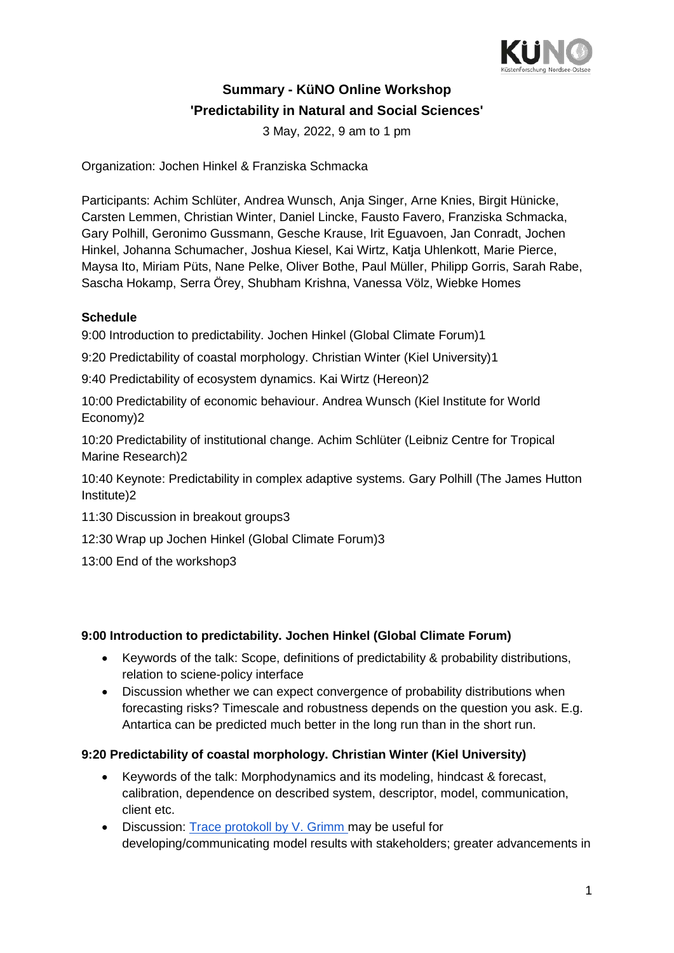

# **Summary - KüNO Online Workshop 'Predictability in Natural and Social Sciences'**

3 May, 2022, 9 am to 1 pm

Organization: Jochen Hinkel & Franziska Schmacka

Participants: Achim Schlüter, Andrea Wunsch, Anja Singer, Arne Knies, Birgit Hünicke, Carsten Lemmen, Christian Winter, Daniel Lincke, Fausto Favero, Franziska Schmacka, Gary Polhill, Geronimo Gussmann, Gesche Krause, Irit Eguavoen, Jan Conradt, Jochen Hinkel, Johanna Schumacher, Joshua Kiesel, Kai Wirtz, Katja Uhlenkott, Marie Pierce, Maysa Ito, Miriam Püts, Nane Pelke, Oliver Bothe, Paul Müller, Philipp Gorris, Sarah Rabe, Sascha Hokamp, Serra Örey, Shubham Krishna, Vanessa Völz, Wiebke Homes

#### **Schedule**

9:00 Introduction to predictability. [Jochen Hinkel \(Global Climate Forum\)1](#page-0-0)

[9:20 Predictability of coastal morphology. Christian Winter \(Kiel University\)1](#page-0-1)

[9:40 Predictability of ecosystem dynamics. Kai Wirtz \(Hereon\)2](#page-1-0)

[10:00 Predictability of economic behaviour. Andrea Wunsch \(Kiel Institute for World](#page-1-1)  [Economy\)2](#page-1-1)

[10:20 Predictability of institutional change. Achim Schlüter \(Leibniz Centre for Tropical](#page-1-2)  [Marine Research\)2](#page-1-2)

[10:40 Keynote: Predictability in complex adaptive systems. Gary Polhill \(The James Hutton](#page-1-3)  [Institute\)2](#page-1-3)

- [11:30 Discussion in breakout groups3](#page-2-0)
- [12:30 Wrap up Jochen Hinkel \(Global Climate Forum\)3](#page-2-1)
- [13:00 End of the workshop3](#page-2-2)

#### <span id="page-0-0"></span>**9:00 Introduction to predictability. Jochen Hinkel (Global Climate Forum)**

- Keywords of the talk: Scope, definitions of predictability & probability distributions, relation to sciene-policy interface
- Discussion whether we can expect convergence of probability distributions when forecasting risks? Timescale and robustness depends on the question you ask. E.g. Antartica can be predicted much better in the long run than in the short run.

#### <span id="page-0-1"></span>**9:20 Predictability of coastal morphology. Christian Winter (Kiel University)**

- Keywords of the talk: Morphodynamics and its modeling, hindcast & forecast, calibration, dependence on described system, descriptor, model, communication, client etc.
- Discussion: [Trace protokoll by V. Grimm](https://doi.org/10.1016/j.envsoft.2020.104932) may be useful for developing/communicating model results with stakeholders; greater advancements in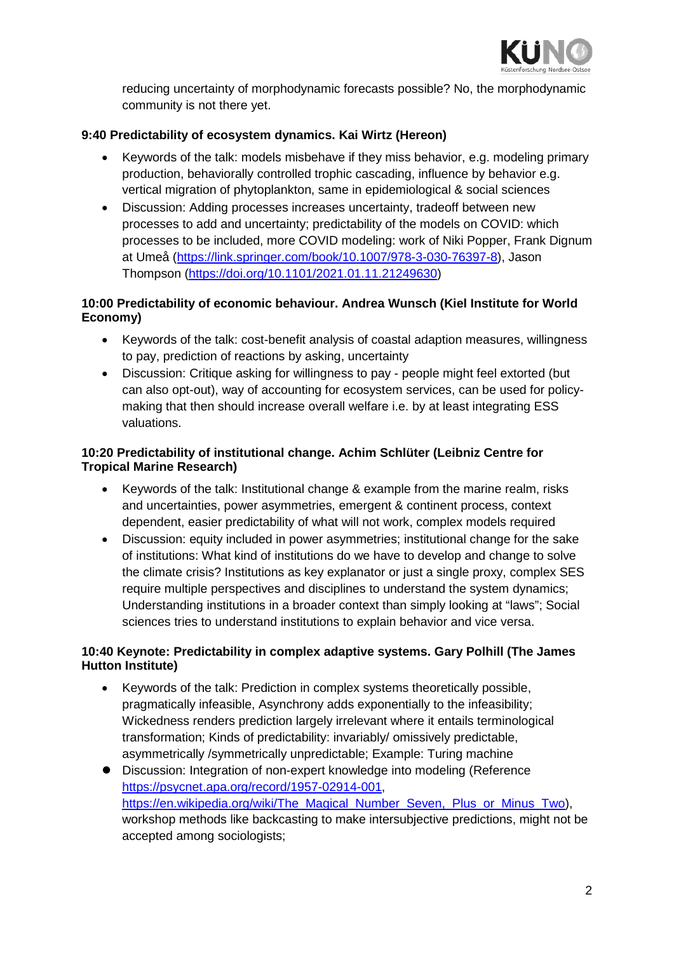

reducing uncertainty of morphodynamic forecasts possible? No, the morphodynamic community is not there yet.

### <span id="page-1-0"></span>**9:40 Predictability of ecosystem dynamics. Kai Wirtz (Hereon)**

- Keywords of the talk: models misbehave if they miss behavior, e.g. modeling primary production, behaviorally controlled trophic cascading, influence by behavior e.g. vertical migration of phytoplankton, same in epidemiological & social sciences
- Discussion: Adding processes increases uncertainty, tradeoff between new processes to add and uncertainty; predictability of the models on COVID: which processes to be included, more COVID modeling: work of Niki Popper, Frank Dignum at Umeå [\(https://link.springer.com/book/10.1007/978-3-030-76397-8\)](https://link.springer.com/book/10.1007/978-3-030-76397-8), Jason Thompson [\(https://doi.org/10.1101/2021.01.11.21249630\)](https://doi.org/10.1101/2021.01.11.21249630)

# <span id="page-1-1"></span>**10:00 Predictability of economic behaviour. Andrea Wunsch (Kiel Institute for World Economy)**

- Keywords of the talk: cost-benefit analysis of coastal adaption measures, willingness to pay, prediction of reactions by asking, uncertainty
- Discussion: Critique asking for willingness to pay people might feel extorted (but can also opt-out), way of accounting for ecosystem services, can be used for policymaking that then should increase overall welfare i.e. by at least integrating ESS valuations.

#### <span id="page-1-2"></span>**10:20 Predictability of institutional change. Achim Schlüter (Leibniz Centre for Tropical Marine Research)**

- Keywords of the talk: Institutional change & example from the marine realm, risks and uncertainties, power asymmetries, emergent & continent process, context dependent, easier predictability of what will not work, complex models required
- Discussion: equity included in power asymmetries; institutional change for the sake of institutions: What kind of institutions do we have to develop and change to solve the climate crisis? Institutions as key explanator or just a single proxy, complex SES require multiple perspectives and disciplines to understand the system dynamics; Understanding institutions in a broader context than simply looking at "laws"; Social sciences tries to understand institutions to explain behavior and vice versa.

# <span id="page-1-3"></span>**10:40 Keynote: Predictability in complex adaptive systems. Gary Polhill (The James Hutton Institute)**

- Keywords of the talk: Prediction in complex systems theoretically possible, pragmatically infeasible, Asynchrony adds exponentially to the infeasibility; Wickedness renders prediction largely irrelevant where it entails terminological transformation; Kinds of predictability: invariably/ omissively predictable, asymmetrically /symmetrically unpredictable; Example: Turing machine
- Discussion: Integration of non-expert knowledge into modeling (Reference [https://psycnet.apa.org/record/1957-02914-001,](https://psycnet.apa.org/record/1957-02914-001) [https://en.wikipedia.org/wiki/The\\_Magical\\_Number\\_Seven,\\_Plus\\_or\\_Minus\\_Two\)](https://en.wikipedia.org/wiki/The_Magical_Number_Seven,_Plus_or_Minus_Two), workshop methods like backcasting to make intersubjective predictions, might not be accepted among sociologists;